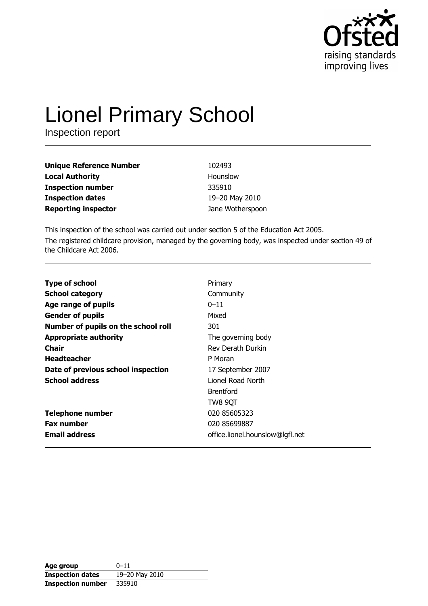

# **Lionel Primary School**

Inspection report

| <b>Unique Reference Number</b> | 102493           |
|--------------------------------|------------------|
| <b>Local Authority</b>         | Hounslow         |
| <b>Inspection number</b>       | 335910           |
| <b>Inspection dates</b>        | 19-20 May 2010   |
| <b>Reporting inspector</b>     | Jane Wotherspoon |

This inspection of the school was carried out under section 5 of the Education Act 2005. The registered childcare provision, managed by the governing body, was inspected under section 49 of the Childcare Act 2006.

| <b>Type of school</b>               | Primary                         |
|-------------------------------------|---------------------------------|
| <b>School category</b>              | Community                       |
| Age range of pupils                 | $0 - 11$                        |
| <b>Gender of pupils</b>             | Mixed                           |
| Number of pupils on the school roll | 301                             |
| <b>Appropriate authority</b>        | The governing body              |
| Chair                               | Rev Derath Durkin               |
| <b>Headteacher</b>                  | P Moran                         |
| Date of previous school inspection  | 17 September 2007               |
| <b>School address</b>               | Lionel Road North               |
|                                     | <b>Brentford</b>                |
|                                     | TW8 9QT                         |
| <b>Telephone number</b>             | 020 85605323                    |
| <b>Fax number</b>                   | 020 85699887                    |
| <b>Email address</b>                | office.lionel.hounslow@lgfl.net |

| Age group                | $0 - 11$       |
|--------------------------|----------------|
| <b>Inspection dates</b>  | 19-20 May 2010 |
| <b>Inspection number</b> | 335910         |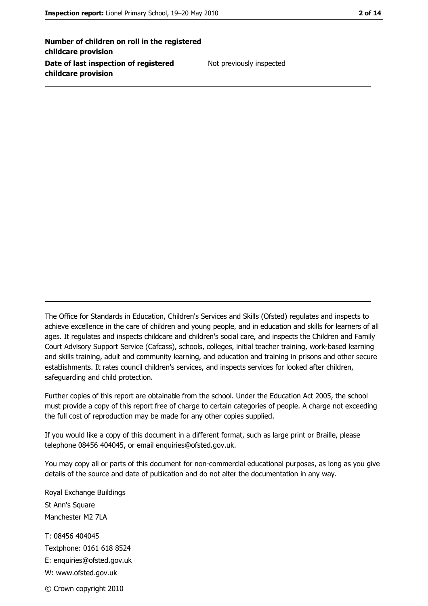Number of children on roll in the registered childcare provision Date of last inspection of registered childcare provision

Not previously inspected

The Office for Standards in Education, Children's Services and Skills (Ofsted) regulates and inspects to achieve excellence in the care of children and young people, and in education and skills for learners of all ages. It regulates and inspects childcare and children's social care, and inspects the Children and Family Court Advisory Support Service (Cafcass), schools, colleges, initial teacher training, work-based learning and skills training, adult and community learning, and education and training in prisons and other secure establishments. It rates council children's services, and inspects services for looked after children, safequarding and child protection.

Further copies of this report are obtainable from the school. Under the Education Act 2005, the school must provide a copy of this report free of charge to certain categories of people. A charge not exceeding the full cost of reproduction may be made for any other copies supplied.

If you would like a copy of this document in a different format, such as large print or Braille, please telephone 08456 404045, or email enquiries@ofsted.gov.uk.

You may copy all or parts of this document for non-commercial educational purposes, as long as you give details of the source and date of publication and do not alter the documentation in any way.

Royal Exchange Buildings St Ann's Square Manchester M2 7LA T: 08456 404045 Textphone: 0161 618 8524 E: enquiries@ofsted.gov.uk W: www.ofsted.gov.uk © Crown copyright 2010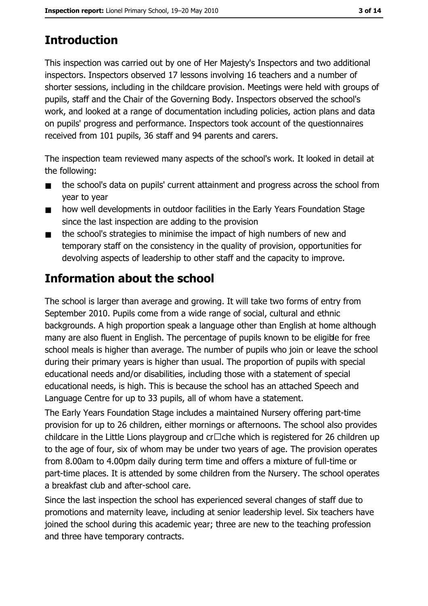# **Introduction**

This inspection was carried out by one of Her Majesty's Inspectors and two additional inspectors. Inspectors observed 17 lessons involving 16 teachers and a number of shorter sessions, including in the childcare provision. Meetings were held with groups of pupils, staff and the Chair of the Governing Body. Inspectors observed the school's work, and looked at a range of documentation including policies, action plans and data on pupils' progress and performance. Inspectors took account of the questionnaires received from 101 pupils, 36 staff and 94 parents and carers.

The inspection team reviewed many aspects of the school's work. It looked in detail at the following:

- the school's data on pupils' current attainment and progress across the school from  $\blacksquare$ year to year
- how well developments in outdoor facilities in the Early Years Foundation Stage  $\blacksquare$ since the last inspection are adding to the provision
- the school's strategies to minimise the impact of high numbers of new and  $\blacksquare$ temporary staff on the consistency in the quality of provision, opportunities for devolving aspects of leadership to other staff and the capacity to improve.

# **Information about the school**

The school is larger than average and growing. It will take two forms of entry from September 2010. Pupils come from a wide range of social, cultural and ethnic backgrounds. A high proportion speak a language other than English at home although many are also fluent in English. The percentage of pupils known to be eligible for free school meals is higher than average. The number of pupils who join or leave the school during their primary years is higher than usual. The proportion of pupils with special educational needs and/or disabilities, including those with a statement of special educational needs, is high. This is because the school has an attached Speech and Language Centre for up to 33 pupils, all of whom have a statement.

The Early Years Foundation Stage includes a maintained Nursery offering part-time provision for up to 26 children, either mornings or afternoons. The school also provides childcare in the Little Lions playgroup and  $cr\Box$ che which is registered for 26 children up to the age of four, six of whom may be under two years of age. The provision operates from 8.00am to 4.00pm daily during term time and offers a mixture of full-time or part-time places. It is attended by some children from the Nursery. The school operates a breakfast club and after-school care.

Since the last inspection the school has experienced several changes of staff due to promotions and maternity leave, including at senior leadership level. Six teachers have joined the school during this academic year; three are new to the teaching profession and three have temporary contracts.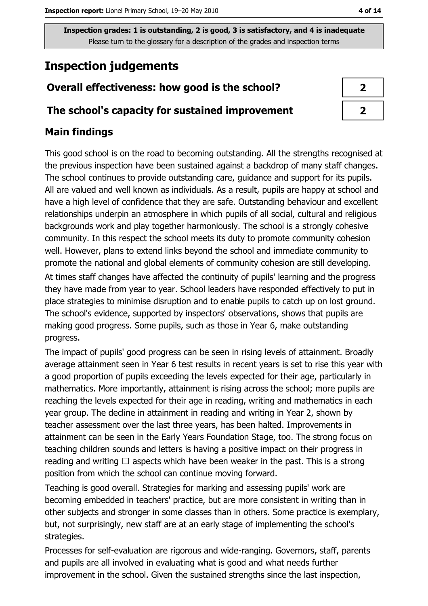# **Inspection judgements**

## Overall effectiveness: how good is the school?

## The school's capacity for sustained improvement

## **Main findings**

This good school is on the road to becoming outstanding. All the strengths recognised at the previous inspection have been sustained against a backdrop of many staff changes. The school continues to provide outstanding care, guidance and support for its pupils. All are valued and well known as individuals. As a result, pupils are happy at school and have a high level of confidence that they are safe. Outstanding behaviour and excellent relationships underpin an atmosphere in which pupils of all social, cultural and religious backgrounds work and play together harmoniously. The school is a strongly cohesive community. In this respect the school meets its duty to promote community cohesion well. However, plans to extend links beyond the school and immediate community to promote the national and global elements of community cohesion are still developing.

At times staff changes have affected the continuity of pupils' learning and the progress they have made from year to year. School leaders have responded effectively to put in place strategies to minimise disruption and to enable pupils to catch up on lost ground. The school's evidence, supported by inspectors' observations, shows that pupils are making good progress. Some pupils, such as those in Year 6, make outstanding progress.

The impact of pupils' good progress can be seen in rising levels of attainment. Broadly average attainment seen in Year 6 test results in recent years is set to rise this year with a good proportion of pupils exceeding the levels expected for their age, particularly in mathematics. More importantly, attainment is rising across the school; more pupils are reaching the levels expected for their age in reading, writing and mathematics in each year group. The decline in attainment in reading and writing in Year 2, shown by teacher assessment over the last three years, has been halted. Improvements in attainment can be seen in the Early Years Foundation Stage, too. The strong focus on teaching children sounds and letters is having a positive impact on their progress in reading and writing  $\Box$  aspects which have been weaker in the past. This is a strong position from which the school can continue moving forward.

Teaching is good overall. Strategies for marking and assessing pupils' work are becoming embedded in teachers' practice, but are more consistent in writing than in other subjects and stronger in some classes than in others. Some practice is exemplary, but, not surprisingly, new staff are at an early stage of implementing the school's strategies.

Processes for self-evaluation are rigorous and wide-ranging. Governors, staff, parents and pupils are all involved in evaluating what is good and what needs further improvement in the school. Given the sustained strengths since the last inspection,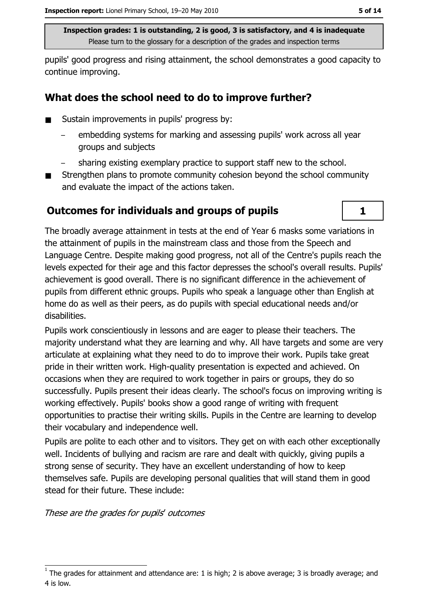pupils' good progress and rising attainment, the school demonstrates a good capacity to continue improving.

## What does the school need to do to improve further?

- Sustain improvements in pupils' progress by:  $\blacksquare$ 
	- embedding systems for marking and assessing pupils' work across all year groups and subjects
	- sharing existing exemplary practice to support staff new to the school.
- Strengthen plans to promote community cohesion beyond the school community and evaluate the impact of the actions taken.

## **Outcomes for individuals and groups of pupils**

The broadly average attainment in tests at the end of Year 6 masks some variations in the attainment of pupils in the mainstream class and those from the Speech and Language Centre. Despite making good progress, not all of the Centre's pupils reach the levels expected for their age and this factor depresses the school's overall results. Pupils' achievement is good overall. There is no significant difference in the achievement of pupils from different ethnic groups. Pupils who speak a language other than English at home do as well as their peers, as do pupils with special educational needs and/or disabilities.

Pupils work conscientiously in lessons and are eager to please their teachers. The majority understand what they are learning and why. All have targets and some are very articulate at explaining what they need to do to improve their work. Pupils take great pride in their written work. High-quality presentation is expected and achieved. On occasions when they are required to work together in pairs or groups, they do so successfully. Pupils present their ideas clearly. The school's focus on improving writing is working effectively. Pupils' books show a good range of writing with frequent opportunities to practise their writing skills. Pupils in the Centre are learning to develop their vocabulary and independence well.

Pupils are polite to each other and to visitors. They get on with each other exceptionally well. Incidents of bullying and racism are rare and dealt with quickly, giving pupils a strong sense of security. They have an excellent understanding of how to keep themselves safe. Pupils are developing personal qualities that will stand them in good stead for their future. These include:

These are the grades for pupils' outcomes

 $\mathbf{1}$ 

The grades for attainment and attendance are: 1 is high; 2 is above average; 3 is broadly average; and 4 is low.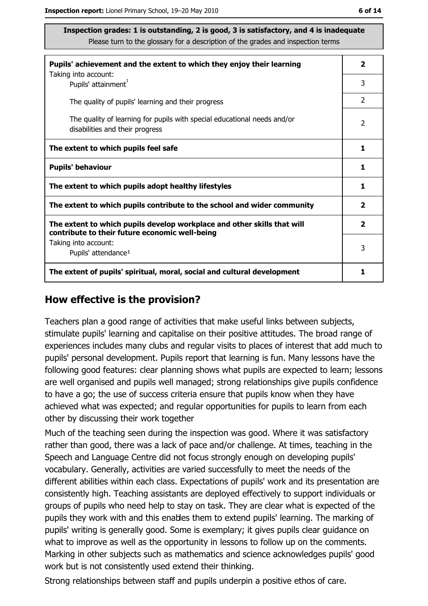| Pupils' achievement and the extent to which they enjoy their learning                                                     | $\overline{\mathbf{2}}$ |
|---------------------------------------------------------------------------------------------------------------------------|-------------------------|
| Taking into account:<br>Pupils' attainment <sup>1</sup>                                                                   | 3                       |
| The quality of pupils' learning and their progress                                                                        | $\overline{2}$          |
| The quality of learning for pupils with special educational needs and/or<br>disabilities and their progress               | $\overline{2}$          |
| The extent to which pupils feel safe                                                                                      | 1                       |
| <b>Pupils' behaviour</b>                                                                                                  | 1                       |
| The extent to which pupils adopt healthy lifestyles                                                                       | 1                       |
| The extent to which pupils contribute to the school and wider community                                                   | $\overline{\mathbf{2}}$ |
| The extent to which pupils develop workplace and other skills that will<br>contribute to their future economic well-being | $\overline{\mathbf{2}}$ |
| Taking into account:<br>Pupils' attendance <sup>1</sup>                                                                   | 3                       |
| The extent of pupils' spiritual, moral, social and cultural development                                                   | 1                       |

#### How effective is the provision?

Teachers plan a good range of activities that make useful links between subjects, stimulate pupils' learning and capitalise on their positive attitudes. The broad range of experiences includes many clubs and regular visits to places of interest that add much to pupils' personal development. Pupils report that learning is fun. Many lessons have the following good features: clear planning shows what pupils are expected to learn; lessons are well organised and pupils well managed; strong relationships give pupils confidence to have a go; the use of success criteria ensure that pupils know when they have achieved what was expected; and regular opportunities for pupils to learn from each other by discussing their work together

Much of the teaching seen during the inspection was good. Where it was satisfactory rather than good, there was a lack of pace and/or challenge. At times, teaching in the Speech and Language Centre did not focus strongly enough on developing pupils' vocabulary. Generally, activities are varied successfully to meet the needs of the different abilities within each class. Expectations of pupils' work and its presentation are consistently high. Teaching assistants are deployed effectively to support individuals or groups of pupils who need help to stay on task. They are clear what is expected of the pupils they work with and this enables them to extend pupils' learning. The marking of pupils' writing is generally good. Some is exemplary; it gives pupils clear guidance on what to improve as well as the opportunity in lessons to follow up on the comments. Marking in other subjects such as mathematics and science acknowledges pupils' good work but is not consistently used extend their thinking.

Strong relationships between staff and pupils underpin a positive ethos of care.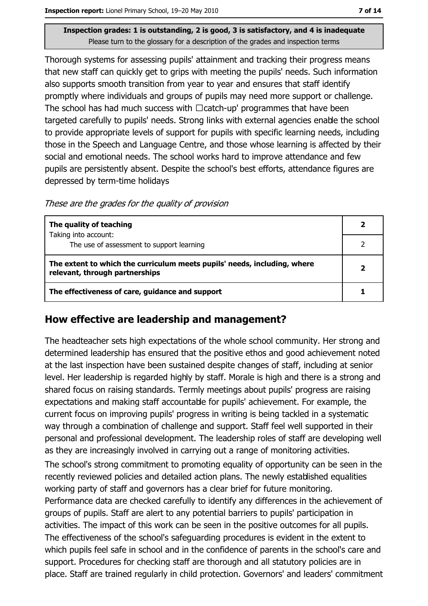Thorough systems for assessing pupils' attainment and tracking their progress means that new staff can quickly get to grips with meeting the pupils' needs. Such information also supports smooth transition from year to year and ensures that staff identify promptly where individuals and groups of pupils may need more support or challenge. The school has had much success with  $\Box$  catch-up' programmes that have been targeted carefully to pupils' needs. Strong links with external agencies enable the school to provide appropriate levels of support for pupils with specific learning needs, including those in the Speech and Language Centre, and those whose learning is affected by their social and emotional needs. The school works hard to improve attendance and few pupils are persistently absent. Despite the school's best efforts, attendance figures are depressed by term-time holidays

These are the grades for the quality of provision

| The quality of teaching                                                                                    |  |
|------------------------------------------------------------------------------------------------------------|--|
| Taking into account:<br>The use of assessment to support learning                                          |  |
| The extent to which the curriculum meets pupils' needs, including, where<br>relevant, through partnerships |  |
| The effectiveness of care, guidance and support                                                            |  |

## How effective are leadership and management?

The headteacher sets high expectations of the whole school community. Her strong and determined leadership has ensured that the positive ethos and good achievement noted at the last inspection have been sustained despite changes of staff, including at senior level. Her leadership is regarded highly by staff. Morale is high and there is a strong and shared focus on raising standards. Termly meetings about pupils' progress are raising expectations and making staff accountable for pupils' achievement. For example, the current focus on improving pupils' progress in writing is being tackled in a systematic way through a combination of challenge and support. Staff feel well supported in their personal and professional development. The leadership roles of staff are developing well as they are increasingly involved in carrying out a range of monitoring activities.

The school's strong commitment to promoting equality of opportunity can be seen in the recently reviewed policies and detailed action plans. The newly established equalities working party of staff and governors has a clear brief for future monitoring. Performance data are checked carefully to identify any differences in the achievement of groups of pupils. Staff are alert to any potential barriers to pupils' participation in activities. The impact of this work can be seen in the positive outcomes for all pupils. The effectiveness of the school's safeguarding procedures is evident in the extent to which pupils feel safe in school and in the confidence of parents in the school's care and support. Procedures for checking staff are thorough and all statutory policies are in place. Staff are trained regularly in child protection. Governors' and leaders' commitment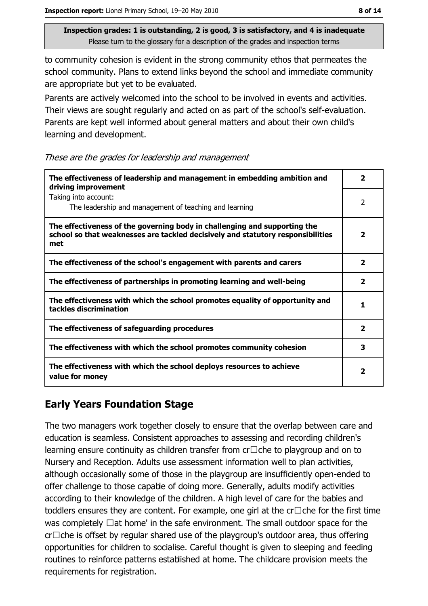to community cohesion is evident in the strong community ethos that permeates the school community. Plans to extend links beyond the school and immediate community are appropriate but yet to be evaluated.

Parents are actively welcomed into the school to be involved in events and activities. Their views are sought regularly and acted on as part of the school's self-evaluation. Parents are kept well informed about general matters and about their own child's learning and development.

These are the grades for leadership and management

| The effectiveness of leadership and management in embedding ambition and<br>driving improvement                                                                     | 2                       |
|---------------------------------------------------------------------------------------------------------------------------------------------------------------------|-------------------------|
| Taking into account:<br>The leadership and management of teaching and learning                                                                                      | 2                       |
| The effectiveness of the governing body in challenging and supporting the<br>school so that weaknesses are tackled decisively and statutory responsibilities<br>met | $\overline{\mathbf{2}}$ |
| The effectiveness of the school's engagement with parents and carers                                                                                                | $\mathbf{2}$            |
| The effectiveness of partnerships in promoting learning and well-being                                                                                              | $\overline{\mathbf{2}}$ |
| The effectiveness with which the school promotes equality of opportunity and<br>tackles discrimination                                                              | 1                       |
| The effectiveness of safeguarding procedures                                                                                                                        | $\overline{\mathbf{2}}$ |
| The effectiveness with which the school promotes community cohesion                                                                                                 | 3                       |
| The effectiveness with which the school deploys resources to achieve<br>value for money                                                                             | 2                       |

## **Early Years Foundation Stage**

The two managers work together closely to ensure that the overlap between care and education is seamless. Consistent approaches to assessing and recording children's learning ensure continuity as children transfer from  $cr\Box$ che to playgroup and on to Nursery and Reception. Adults use assessment information well to plan activities, although occasionally some of those in the playgroup are insufficiently open-ended to offer challenge to those capable of doing more. Generally, adults modify activities according to their knowledge of the children. A high level of care for the babies and toddlers ensures they are content. For example, one girl at the  $cr\Box$ che for the first time was completely  $\Box$  at home' in the safe environment. The small outdoor space for the  $cr\Box$ che is offset by regular shared use of the playgroup's outdoor area, thus offering opportunities for children to socialise. Careful thought is given to sleeping and feeding routines to reinforce patterns established at home. The childcare provision meets the requirements for registration.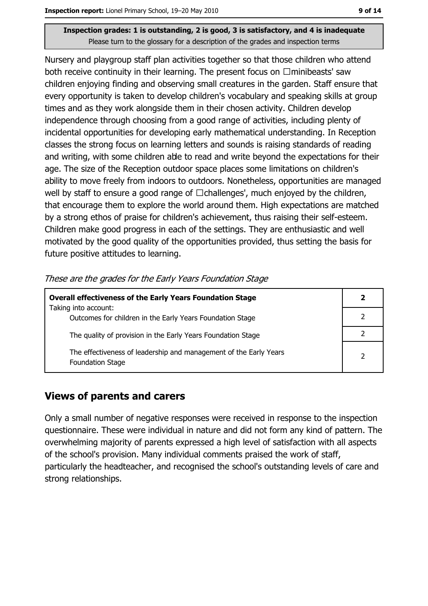Nursery and playgroup staff plan activities together so that those children who attend both receive continuity in their learning. The present focus on  $\Box$ minibeasts' saw children enjoying finding and observing small creatures in the garden. Staff ensure that every opportunity is taken to develop children's vocabulary and speaking skills at group times and as they work alongside them in their chosen activity. Children develop independence through choosing from a good range of activities, including plenty of incidental opportunities for developing early mathematical understanding. In Reception classes the strong focus on learning letters and sounds is raising standards of reading and writing, with some children able to read and write beyond the expectations for their age. The size of the Reception outdoor space places some limitations on children's ability to move freely from indoors to outdoors. Nonetheless, opportunities are managed well by staff to ensure a good range of  $\Box$ challenges', much enjoyed by the children, that encourage them to explore the world around them. High expectations are matched by a strong ethos of praise for children's achievement, thus raising their self-esteem. Children make good progress in each of the settings. They are enthusiastic and well motivated by the good quality of the opportunities provided, thus setting the basis for future positive attitudes to learning.

| These are the grades for the Early Years Foundation Stage |  |
|-----------------------------------------------------------|--|
|-----------------------------------------------------------|--|

| <b>Overall effectiveness of the Early Years Foundation Stage</b>                             | 2             |
|----------------------------------------------------------------------------------------------|---------------|
| Taking into account:                                                                         |               |
| Outcomes for children in the Early Years Foundation Stage                                    |               |
| The quality of provision in the Early Years Foundation Stage                                 |               |
| The effectiveness of leadership and management of the Early Years<br><b>Foundation Stage</b> | $\mathcal{P}$ |

## **Views of parents and carers**

Only a small number of negative responses were received in response to the inspection questionnaire. These were individual in nature and did not form any kind of pattern. The overwhelming majority of parents expressed a high level of satisfaction with all aspects of the school's provision. Many individual comments praised the work of staff, particularly the headteacher, and recognised the school's outstanding levels of care and strong relationships.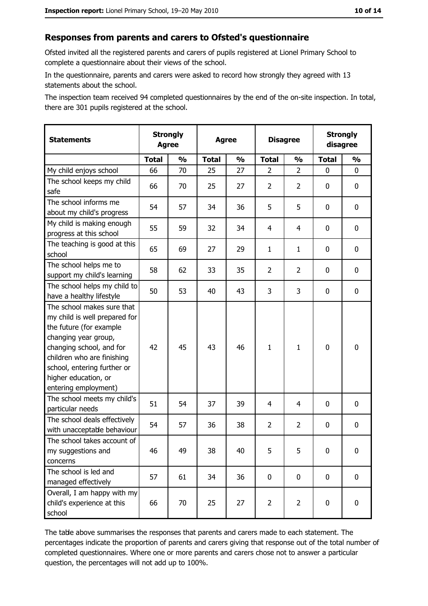#### Responses from parents and carers to Ofsted's questionnaire

Ofsted invited all the registered parents and carers of pupils registered at Lionel Primary School to complete a questionnaire about their views of the school.

In the questionnaire, parents and carers were asked to record how strongly they agreed with 13 statements about the school.

The inspection team received 94 completed questionnaires by the end of the on-site inspection. In total, there are 301 pupils registered at the school.

| <b>Statements</b>                                                                                                                                                                                                                                       | <b>Strongly</b><br><b>Agree</b> |               | <b>Agree</b> |               | <b>Disagree</b> |                | <b>Strongly</b><br>disagree |               |
|---------------------------------------------------------------------------------------------------------------------------------------------------------------------------------------------------------------------------------------------------------|---------------------------------|---------------|--------------|---------------|-----------------|----------------|-----------------------------|---------------|
|                                                                                                                                                                                                                                                         | <b>Total</b>                    | $\frac{1}{2}$ | <b>Total</b> | $\frac{1}{2}$ | <b>Total</b>    | $\frac{0}{0}$  | <b>Total</b>                | $\frac{1}{2}$ |
| My child enjoys school                                                                                                                                                                                                                                  | 66                              | 70            | 25           | 27            | 2               | $\overline{2}$ | $\Omega$                    | 0             |
| The school keeps my child<br>safe                                                                                                                                                                                                                       | 66                              | 70            | 25           | 27            | $\overline{2}$  | $\overline{2}$ | 0                           | 0             |
| The school informs me<br>about my child's progress                                                                                                                                                                                                      | 54                              | 57            | 34           | 36            | 5               | 5              | $\mathbf{0}$                | 0             |
| My child is making enough<br>progress at this school                                                                                                                                                                                                    | 55                              | 59            | 32           | 34            | $\overline{4}$  | 4              | 0                           | 0             |
| The teaching is good at this<br>school                                                                                                                                                                                                                  | 65                              | 69            | 27           | 29            | $\mathbf{1}$    | $\mathbf{1}$   | 0                           | 0             |
| The school helps me to<br>support my child's learning                                                                                                                                                                                                   | 58                              | 62            | 33           | 35            | $\overline{2}$  | $\overline{2}$ | 0                           | 0             |
| The school helps my child to<br>have a healthy lifestyle                                                                                                                                                                                                | 50                              | 53            | 40           | 43            | 3               | 3              | 0                           | 0             |
| The school makes sure that<br>my child is well prepared for<br>the future (for example<br>changing year group,<br>changing school, and for<br>children who are finishing<br>school, entering further or<br>higher education, or<br>entering employment) | 42                              | 45            | 43           | 46            | $\mathbf{1}$    | $\mathbf{1}$   | $\mathbf 0$                 | 0             |
| The school meets my child's<br>particular needs                                                                                                                                                                                                         | 51                              | 54            | 37           | 39            | 4               | 4              | 0                           | 0             |
| The school deals effectively<br>with unacceptable behaviour                                                                                                                                                                                             | 54                              | 57            | 36           | 38            | $\overline{2}$  | $\overline{2}$ | 0                           | 0             |
| The school takes account of<br>my suggestions and<br>concerns                                                                                                                                                                                           | 46                              | 49            | 38           | 40            | 5               | 5              | 0                           | 0             |
| The school is led and<br>managed effectively                                                                                                                                                                                                            | 57                              | 61            | 34           | 36            | $\mathbf 0$     | 0              | 0                           | $\mathbf 0$   |
| Overall, I am happy with my<br>child's experience at this<br>school                                                                                                                                                                                     | 66                              | 70            | 25           | 27            | $\overline{2}$  | $\overline{2}$ | $\mathbf 0$                 | 0             |

The table above summarises the responses that parents and carers made to each statement. The percentages indicate the proportion of parents and carers giving that response out of the total number of completed questionnaires. Where one or more parents and carers chose not to answer a particular question, the percentages will not add up to 100%.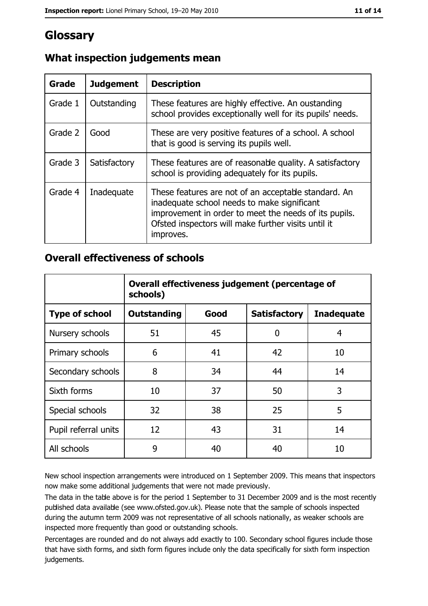## Glossary

| <b>Grade</b> | <b>Judgement</b> | <b>Description</b>                                                                                                                                                                                                               |
|--------------|------------------|----------------------------------------------------------------------------------------------------------------------------------------------------------------------------------------------------------------------------------|
| Grade 1      | Outstanding      | These features are highly effective. An oustanding<br>school provides exceptionally well for its pupils' needs.                                                                                                                  |
| Grade 2      | Good             | These are very positive features of a school. A school<br>that is good is serving its pupils well.                                                                                                                               |
| Grade 3      | Satisfactory     | These features are of reasonable quality. A satisfactory<br>school is providing adequately for its pupils.                                                                                                                       |
| Grade 4      | Inadequate       | These features are not of an acceptable standard. An<br>inadequate school needs to make significant<br>improvement in order to meet the needs of its pupils.<br>Ofsted inspectors will make further visits until it<br>improves. |

## What inspection judgements mean

## **Overall effectiveness of schools**

|                       | Overall effectiveness judgement (percentage of<br>schools) |      |                     |                   |
|-----------------------|------------------------------------------------------------|------|---------------------|-------------------|
| <b>Type of school</b> | <b>Outstanding</b>                                         | Good | <b>Satisfactory</b> | <b>Inadequate</b> |
| Nursery schools       | 51                                                         | 45   | 0                   | 4                 |
| Primary schools       | 6                                                          | 41   | 42                  | 10                |
| Secondary schools     | 8                                                          | 34   | 44                  | 14                |
| Sixth forms           | 10                                                         | 37   | 50                  | 3                 |
| Special schools       | 32                                                         | 38   | 25                  | 5                 |
| Pupil referral units  | 12                                                         | 43   | 31                  | 14                |
| All schools           | 9                                                          | 40   | 40                  | 10                |

New school inspection arrangements were introduced on 1 September 2009. This means that inspectors now make some additional judgements that were not made previously.

The data in the table above is for the period 1 September to 31 December 2009 and is the most recently published data available (see www.ofsted.gov.uk). Please note that the sample of schools inspected during the autumn term 2009 was not representative of all schools nationally, as weaker schools are inspected more frequently than good or outstanding schools.

Percentages are rounded and do not always add exactly to 100. Secondary school figures include those that have sixth forms, and sixth form figures include only the data specifically for sixth form inspection judgements.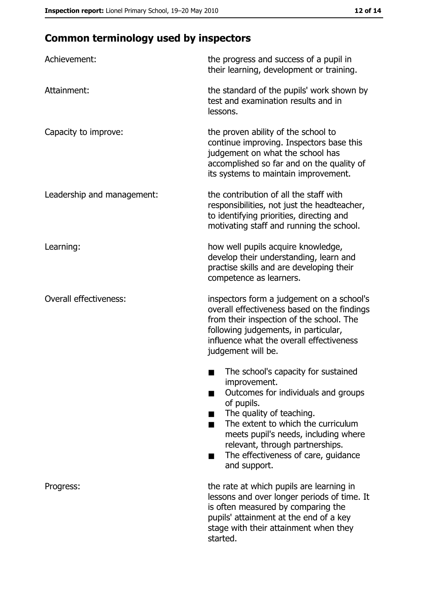# **Common terminology used by inspectors**

| Achievement:                  | the progress and success of a pupil in<br>their learning, development or training.                                                                                                                                                                                                                           |
|-------------------------------|--------------------------------------------------------------------------------------------------------------------------------------------------------------------------------------------------------------------------------------------------------------------------------------------------------------|
| Attainment:                   | the standard of the pupils' work shown by<br>test and examination results and in<br>lessons.                                                                                                                                                                                                                 |
| Capacity to improve:          | the proven ability of the school to<br>continue improving. Inspectors base this<br>judgement on what the school has<br>accomplished so far and on the quality of<br>its systems to maintain improvement.                                                                                                     |
| Leadership and management:    | the contribution of all the staff with<br>responsibilities, not just the headteacher,<br>to identifying priorities, directing and<br>motivating staff and running the school.                                                                                                                                |
| Learning:                     | how well pupils acquire knowledge,<br>develop their understanding, learn and<br>practise skills and are developing their<br>competence as learners.                                                                                                                                                          |
| <b>Overall effectiveness:</b> | inspectors form a judgement on a school's<br>overall effectiveness based on the findings<br>from their inspection of the school. The<br>following judgements, in particular,<br>influence what the overall effectiveness<br>judgement will be.                                                               |
|                               | The school's capacity for sustained<br>improvement.<br>Outcomes for individuals and groups<br>of pupils.<br>The quality of teaching.<br>The extent to which the curriculum<br>meets pupil's needs, including where<br>relevant, through partnerships.<br>The effectiveness of care, guidance<br>and support. |
| Progress:                     | the rate at which pupils are learning in<br>lessons and over longer periods of time. It<br>is often measured by comparing the<br>pupils' attainment at the end of a key<br>stage with their attainment when they<br>started.                                                                                 |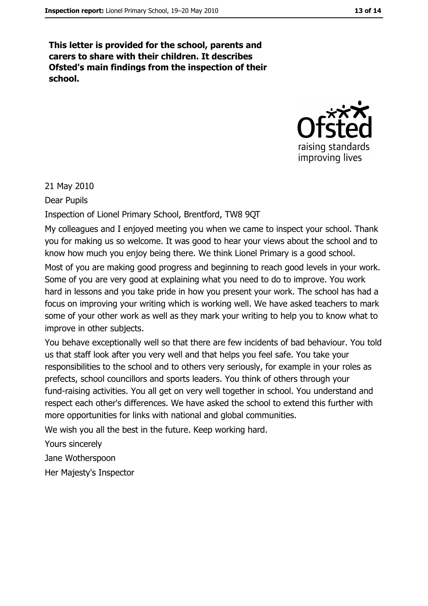This letter is provided for the school, parents and carers to share with their children. It describes Ofsted's main findings from the inspection of their school.



21 May 2010

Dear Pupils

Inspection of Lionel Primary School, Brentford, TW8 9QT

My colleagues and I enjoyed meeting you when we came to inspect your school. Thank you for making us so welcome. It was good to hear your views about the school and to know how much you enjoy being there. We think Lionel Primary is a good school.

Most of you are making good progress and beginning to reach good levels in your work. Some of you are very good at explaining what you need to do to improve. You work hard in lessons and you take pride in how you present your work. The school has had a focus on improving your writing which is working well. We have asked teachers to mark some of your other work as well as they mark your writing to help you to know what to improve in other subjects.

You behave exceptionally well so that there are few incidents of bad behaviour. You told us that staff look after you very well and that helps you feel safe. You take your responsibilities to the school and to others very seriously, for example in your roles as prefects, school councillors and sports leaders. You think of others through your fund-raising activities. You all get on very well together in school. You understand and respect each other's differences. We have asked the school to extend this further with more opportunities for links with national and global communities.

We wish you all the best in the future. Keep working hard.

Yours sincerely

Jane Wotherspoon

Her Majesty's Inspector